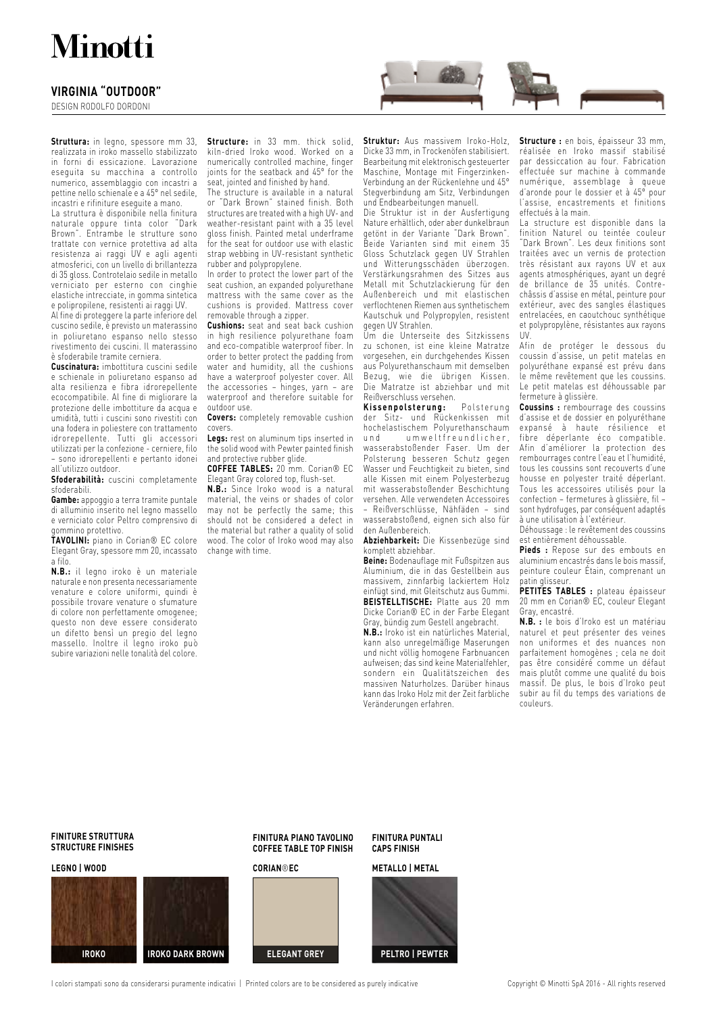# **Minotti**

### **VIRGINIA "OUTDOOR"**

DESIGN RODOLFO DORDONI

**Struttura:** in legno, spessore mm 33, realizzata in iroko massello stabilizzato in forni di essicazione. Lavorazione eseguita su macchina a controllo numerico, assemblaggio con incastri a pettine nello schienale e a 45° nel sedile, incastri e rifiniture eseguite a mano.

La struttura è disponibile nella finitura naturale oppure tinta color "Dark Brown". Entrambe le strutture sono trattate con vernice protettiva ad alta resistenza ai raggi UV e agli agenti atmosferici, con un livello di brillantezza di 35 gloss. Controtelaio sedile in metallo verniciato per esterno con cinghie elastiche intrecciate, in gomma sintetica e polipropilene, resistenti ai raggi UV.

Al fine di proteggere la parte inferiore del cuscino sedile, è previsto un materassino in poliuretano espanso nello stesso rivestimento dei cuscini. Il materassino è sfoderabile tramite cerniera.

**Cuscinatura:** imbottitura cuscini sedile e schienale in poliuretano espanso ad alta resilienza e fibra idrorepellente ecocompatibile. Al fine di migliorare la protezione delle imbottiture da acqua e umidità, tutti i cuscini sono rivestiti con una fodera in poliestere con trattamento idrorepellente. Tutti gli accessori utilizzati per la confezione - cerniere, filo – sono idrorepellenti e pertanto idonei all'utilizzo outdoor.

**Sfoderabilità:** cuscini completamente sfoderabili.

**Gambe:** appoggio a terra tramite puntale di alluminio inserito nel legno massello e verniciato color Peltro comprensivo di gommino protettivo.

**TAVOLINI:** piano in Corian® EC colore Elegant Gray, spessore mm 20, incassato a filo.

**N.B.:** il legno iroko è un materiale naturale e non presenta necessariamente venature e colore uniformi, quindi è possibile trovare venature o sfumature di colore non perfettamente omogenee; questo non deve essere considerato un difetto bensì un pregio del legno massello. Inoltre il legno iroko può subire variazioni nelle tonalità del colore.

**Structure:** in 33 mm. thick solid, kiln-dried Iroko wood. Worked on a numerically controlled machine, finger joints for the seatback and 45° for the seat, jointed and finished by hand.

The structure is available in a natural or "Dark Brown" stained finish. Both structures are treated with a high UV- and weather-resistant paint with a 35 level gloss finish. Painted metal underframe for the seat for outdoor use with elastic strap webbing in UV-resistant synthetic rubber and polypropylene.

In order to protect the lower part of the seat cushion, an expanded polyurethane mattress with the same cover as the cushions is provided. Mattress cover removable through a zipper.

**Cushions:** seat and seat back cushion in high resilience polyurethane foam and eco-compatible waterproof fiber. In order to better protect the padding from water and humidity, all the cushions have a waterproof polyester cover. All the accessories – hinges, yarn – are waterproof and therefore suitable for outdoor use.

**Covers:** completely removable cushion covers.

**Legs:** rest on aluminum tips inserted in the solid wood with Pewter painted finish and protective rubber glide.

**COFFEE TABLES:** 20 mm. Corian® EC Elegant Gray colored top, flush-set.

**N.B.:** Since Iroko wood is a natural material, the veins or shades of color may not be perfectly the same; this should not be considered a defect in the material but rather a quality of solid wood. The color of Iroko wood may also change with time.



**Struktur:** Aus massivem Iroko-Holz, Dicke 33 mm, in Trockenöfen stabilisiert. Bearbeitung mit elektronisch gesteuerter Maschine, Montage mit Fingerzinken-Verbindung an der Rückenlehne und 45° Stegverbindung am Sitz, Verbindungen und Endbearbeitungen manuell.

Die Struktur ist in der Ausfertigung Nature erhältlich, oder aber dunkelbraun getönt in der Variante "Dark Brown". Beide Varianten sind mit einem 35 Gloss Schutzlack gegen UV Strahlen und Witterungsschäden überzogen. Verstärkungsrahmen des Sitzes aus Metall mit Schutzlackierung für den Außenbereich und mit elastischen verflochtenen Riemen aus synthetischem Kautschuk und Polypropylen, resistent gegen UV Strahlen.

Um die Unterseite des Sitzkissens zu schonen, ist eine kleine Matratze vorgesehen, ein durchgehendes Kissen aus Polyurethanschaum mit demselben Bezug, wie die übrigen Kissen. Die Matratze ist abziehbar und mit Reißverschluss versehen.<br>Kissenpolsterung: Polsterung

 $K$ issenpolsterung: der Sitz- und Rückenkissen mit hochelastischem Polyurethanschaum<br>und umweltfreundlicher. u m w e l t f r e u n d l i c h e r , wasserabstoßender Faser. Um der Polsterung besseren Schutz gegen Wasser und Feuchtigkeit zu bieten, sind alle Kissen mit einem Polyesterbezug mit wasserabstoßender Beschichtung versehen. Alle verwendeten Accessoires – Reißverschlüsse, Nähfäden – sind wasserabstoßend, eignen sich also für den Außenbereich.

**Abziehbarkeit:** Die Kissenbezüge sind komplett abziehbar.

**Beine:** Bodenauflage mit Fußspitzen aus Aluminium, die in das Gestellbein aus massivem, zinnfarbig lackiertem Holz einfügt sind, mit Gleitschutz aus Gummi. **BEISTELLTISCHE:** Platte aus 20 mm Dicke Corian® EC in der Farbe Elegant Gray, bündig zum Gestell angebracht.

**N.B.:** Iroko ist ein natürliches Material, kann also unregelmäßige Maserungen und nicht völlig homogene Farbnuancen aufweisen; das sind keine Materialfehler, sondern ein Qualitätszeichen des massiven Naturholzes. Darüber hinaus kann das Iroko Holz mit der Zeit farbliche Veränderungen erfahren.

**Structure :** en bois, épaisseur 33 mm, réalisée en Iroko massif stabilisé par dessiccation au four. Fabrication effectuée sur machine à commande numérique, assemblage à queue d'aronde pour le dossier et à 45° pour l'assise, encastrements et finitions effectués à la main.

La structure est disponible dans la finition Naturel ou teintée couleur Dark Brown". Les deux finitions sont traitées avec un vernis de protection très résistant aux rayons UV et aux agents atmosphériques, ayant un degré de brillance de 35 unités. Contrechâssis d'assise en métal, peinture pour extérieur, avec des sangles élastiques entrelacées, en caoutchouc synthétique et polypropylène, résistantes aux rayons UV.

Afin de protéger le dessous du coussin d'assise, un petit matelas en polyuréthane expansé est prévu dans le même revêtement que les coussins. Le petit matelas est déhoussable par fermeture à glissière.

**Coussins :** rembourrage des coussins d'assise et de dossier en polyuréthane expansé à haute résilience et fibre déperlante éco compatible. Afin d'améliorer la protection des rembourrages contre l'eau et l'humidité, tous les coussins sont recouverts d'une housse en polyester traité déperlant. Tous les accessoires utilisés pour la confection – fermetures à glissière, fil – sont hydrofuges, par conséquent adaptés à une utilisation à l'extérieur.

Déhoussage : le revêtement des coussins est entièrement déhoussable.

**Pieds :** Repose sur des embouts en aluminium encastrés dans le bois massif, peinture couleur Étain, comprenant un patin glisseu

**PETITES TABLES :** plateau épaisseur 20 mm en Corian® EC, couleur Elegant Gray, encastré.

**N.B. :** le bois d'Iroko est un matériau naturel et peut présenter des veines non uniformes et des nuances non parfaitement homogènes ; cela ne doit pas être considéré comme un défaut mais plutôt comme une qualité du bois massif. De plus, le bois d'Iroko peut subir au fil du temps des variations de couleurs.

#### **FINITURE STRUTTURA STRUCTURE FINISHES**

#### **LEGNO | WOOD**





**FINITURA PIANO TAVOLINO COFFEE TABLE TOP FINISH**

#### **CORIAN**®**EC**



# **FINITURA PUNTALI CAPS FINISH**

#### **METALLO | METAL**



I colori stampati sono da considerarsi puramente indicativi | Printed colors are to be considered as purely indicative Copyright © Minotti SpA 2016 - All rights reserved